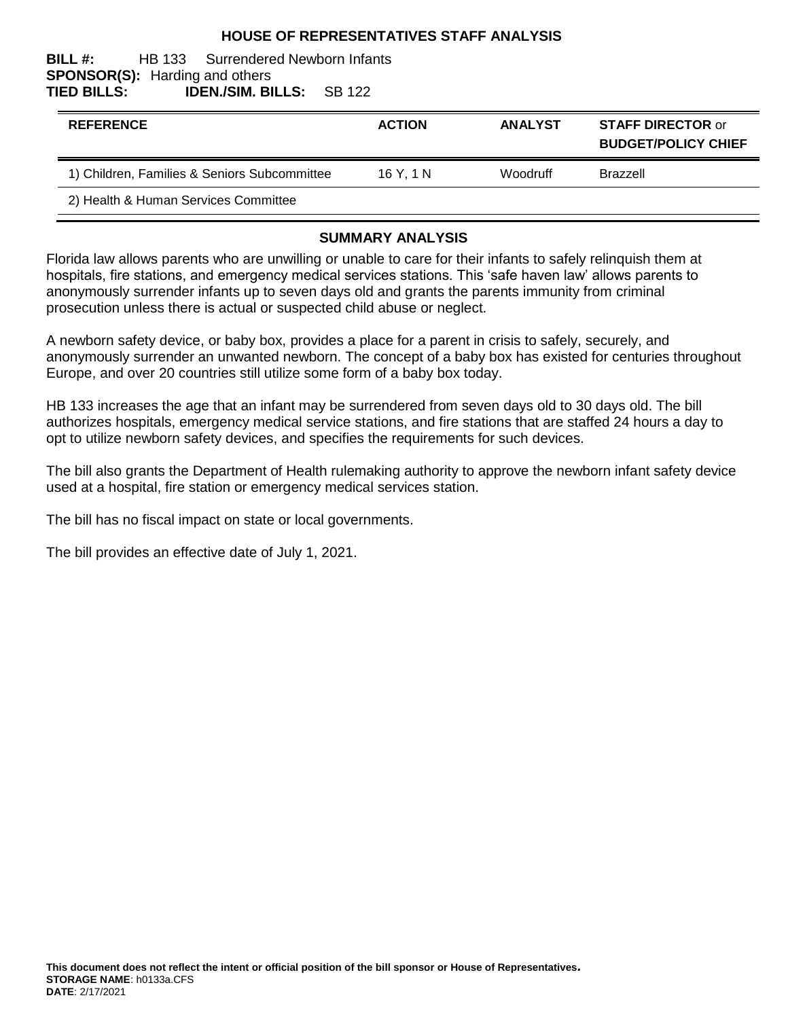#### **HOUSE OF REPRESENTATIVES STAFF ANALYSIS**

#### **BILL #:** HB 133 Surrendered Newborn Infants **SPONSOR(S):** Harding and others **TIED BILLS: IDEN./SIM. BILLS:** SB 122

| <b>REFERENCE</b>                             | <b>ACTION</b> | <b>ANALYST</b> | <b>STAFF DIRECTOR or</b><br><b>BUDGET/POLICY CHIEF</b> |
|----------------------------------------------|---------------|----------------|--------------------------------------------------------|
| 1) Children, Families & Seniors Subcommittee | 16Y.1N        | Woodruff       | <b>Brazzell</b>                                        |
| 2) Health & Human Services Committee         |               |                |                                                        |

#### **SUMMARY ANALYSIS**

Florida law allows parents who are unwilling or unable to care for their infants to safely relinquish them at hospitals, fire stations, and emergency medical services stations. This 'safe haven law' allows parents to anonymously surrender infants up to seven days old and grants the parents immunity from criminal prosecution unless there is actual or suspected child abuse or neglect.

A newborn safety device, or baby box, provides a place for a parent in crisis to safely, securely, and anonymously surrender an unwanted newborn. The concept of a baby box has existed for centuries throughout Europe, and over 20 countries still utilize some form of a baby box today.

HB 133 increases the age that an infant may be surrendered from seven days old to 30 days old. The bill authorizes hospitals, emergency medical service stations, and fire stations that are staffed 24 hours a day to opt to utilize newborn safety devices, and specifies the requirements for such devices.

The bill also grants the Department of Health rulemaking authority to approve the newborn infant safety device used at a hospital, fire station or emergency medical services station.

The bill has no fiscal impact on state or local governments.

The bill provides an effective date of July 1, 2021.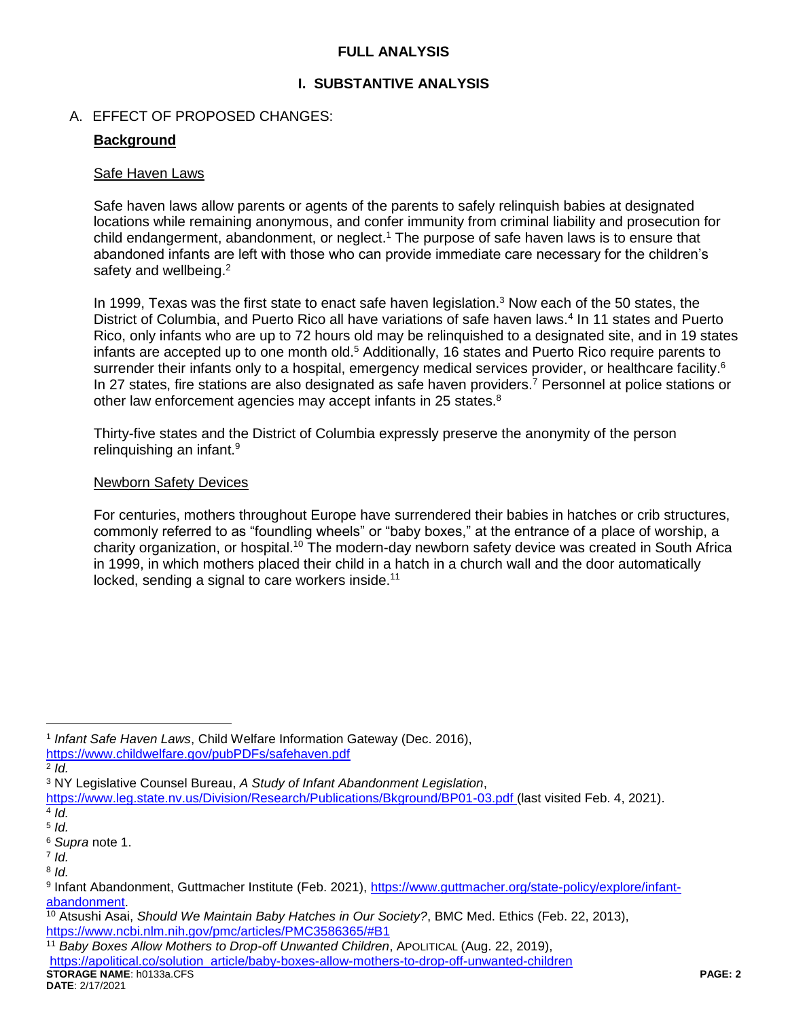### **FULL ANALYSIS**

### **I. SUBSTANTIVE ANALYSIS**

#### A. EFFECT OF PROPOSED CHANGES:

#### **Background**

#### Safe Haven Laws

Safe haven laws allow parents or agents of the parents to safely relinquish babies at designated locations while remaining anonymous, and confer immunity from criminal liability and prosecution for child endangerment, abandonment, or neglect.<sup>1</sup> The purpose of safe haven laws is to ensure that abandoned infants are left with those who can provide immediate care necessary for the children's safety and wellbeing.<sup>2</sup>

In 1999, Texas was the first state to enact safe haven legislation.<sup>3</sup> Now each of the 50 states, the District of Columbia, and Puerto Rico all have variations of safe haven laws.<sup>4</sup> In 11 states and Puerto Rico, only infants who are up to 72 hours old may be relinquished to a designated site, and in 19 states infants are accepted up to one month old.<sup>5</sup> Additionally, 16 states and Puerto Rico require parents to surrender their infants only to a hospital, emergency medical services provider, or healthcare facility.<sup>6</sup> In 27 states, fire stations are also designated as safe haven providers.<sup>7</sup> Personnel at police stations or other law enforcement agencies may accept infants in 25 states.<sup>8</sup>

Thirty-five states and the District of Columbia expressly preserve the anonymity of the person relinguishing an infant.<sup>9</sup>

#### Newborn Safety Devices

For centuries, mothers throughout Europe have surrendered their babies in hatches or crib structures, commonly referred to as "foundling wheels" or "baby boxes," at the entrance of a place of worship, a charity organization, or hospital.<sup>10</sup> The modern-day newborn safety device was created in South Africa in 1999, in which mothers placed their child in a hatch in a church wall and the door automatically locked, sending a signal to care workers inside.<sup>11</sup>

 $\overline{a}$ 

**STORAGE NAME**: h0133a.CFS **PAGE: 2 DATE**: 2/17/2021 <sup>11</sup> *Baby Boxes Allow Mothers to Drop-off Unwanted Children*, APOLITICAL (Aug. 22, 2019), [https://apolitical.co/solution\\_article/baby-boxes-allow-mothers-to-drop-off-unwanted-children](https://apolitical.co/solution_article/baby-boxes-allow-mothers-to-drop-off-unwanted-children)

<sup>1</sup> *Infant Safe Haven Laws*, Child Welfare Information Gateway (Dec. 2016), <https://www.childwelfare.gov/pubPDFs/safehaven.pdf>

<sup>2</sup> *Id.* 

<sup>3</sup> NY Legislative Counsel Bureau, *A Study of Infant Abandonment Legislation*,

<https://www.leg.state.nv.us/Division/Research/Publications/Bkground/BP01-03.pdf> (last visited Feb. 4, 2021). 4 *Id.*

<sup>5</sup> *Id.*

<sup>6</sup> *Supra* note 1.

<sup>7</sup> *Id.*

<sup>8</sup> *Id.* 

<sup>9</sup> Infant Abandonment, Guttmacher Institute (Feb. 2021), [https://www.guttmacher.org/state-policy/explore/infant](https://www.guttmacher.org/state-policy/explore/infant-abandonment)[abandonment.](https://www.guttmacher.org/state-policy/explore/infant-abandonment)

<sup>10</sup> Atsushi Asai, *Should We Maintain Baby Hatches in Our Society?*, BMC Med. Ethics (Feb. 22, 2013), <https://www.ncbi.nlm.nih.gov/pmc/articles/PMC3586365/#B1>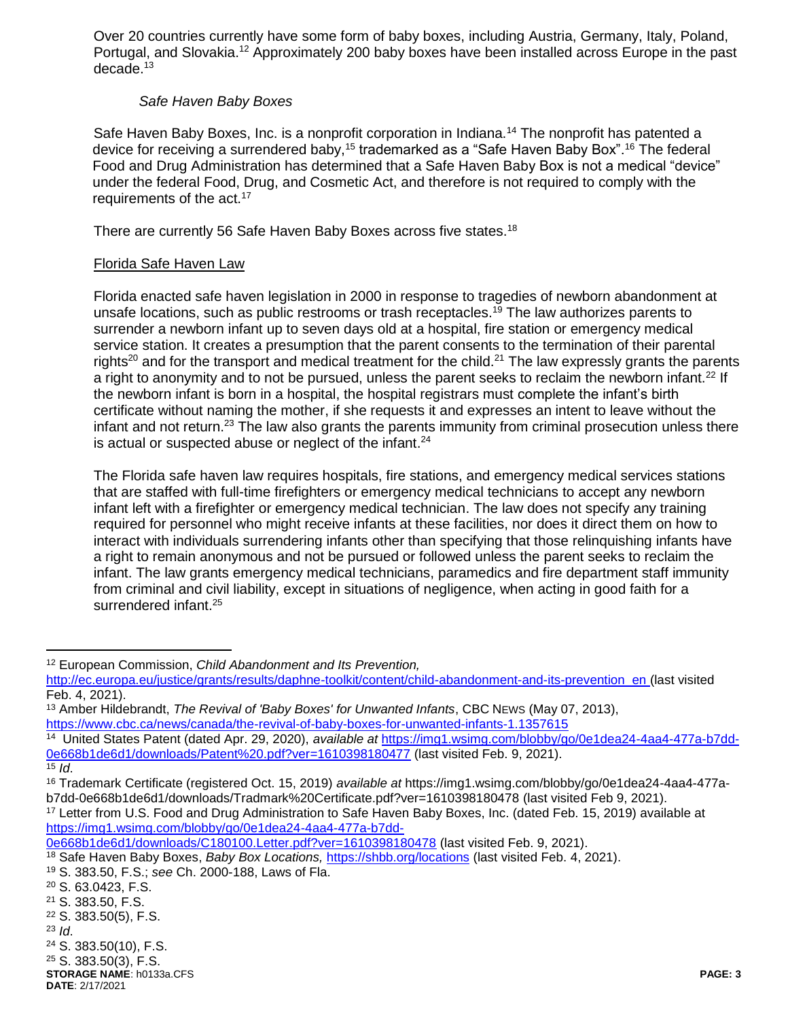Over 20 countries currently have some form of baby boxes, including Austria, Germany, Italy, Poland, Portugal, and Slovakia.<sup>12</sup> Approximately 200 baby boxes have been installed across Europe in the past decade.<sup>13</sup>

### *Safe Haven Baby Boxes*

Safe Haven Baby Boxes, Inc. is a nonprofit corporation in Indiana.<sup>14</sup> The nonprofit has patented a device for receiving a surrendered baby,<sup>15</sup> trademarked as a "Safe Haven Baby Box".<sup>16</sup> The federal Food and Drug Administration has determined that a Safe Haven Baby Box is not a medical "device" under the federal Food, Drug, and Cosmetic Act, and therefore is not required to comply with the requirements of the act.<sup>17</sup>

There are currently 56 Safe Haven Baby Boxes across five states.<sup>18</sup>

### Florida Safe Haven Law

Florida enacted safe haven legislation in 2000 in response to tragedies of newborn abandonment at unsafe locations, such as public restrooms or trash receptacles.<sup>19</sup> The law authorizes parents to surrender a newborn infant up to seven days old at a hospital, fire station or emergency medical service station. It creates a presumption that the parent consents to the termination of their parental rights<sup>20</sup> and for the transport and medical treatment for the child.<sup>21</sup> The law expressly grants the parents a right to anonymity and to not be pursued, unless the parent seeks to reclaim the newborn infant.<sup>22</sup> If the newborn infant is born in a hospital, the hospital registrars must complete the infant's birth certificate without naming the mother, if she requests it and expresses an intent to leave without the infant and not return.<sup>23</sup> The law also grants the parents immunity from criminal prosecution unless there is actual or suspected abuse or neglect of the infant.<sup>24</sup>

The Florida safe haven law requires hospitals, fire stations, and emergency medical services stations that are staffed with full-time firefighters or emergency medical technicians to accept any newborn infant left with a firefighter or emergency medical technician. The law does not specify any training required for personnel who might receive infants at these facilities, nor does it direct them on how to interact with individuals surrendering infants other than specifying that those relinquishing infants have a right to remain anonymous and not be pursued or followed unless the parent seeks to reclaim the infant. The law grants emergency medical technicians, paramedics and fire department staff immunity from criminal and civil liability, except in situations of negligence, when acting in good faith for a surrendered infant.<sup>25</sup>

 $\overline{a}$ 

<sup>17</sup> Letter from U.S. Food and Drug Administration to Safe Haven Baby Boxes, Inc. (dated Feb. 15, 2019) available at [https://img1.wsimg.com/blobby/go/0e1dea24-4aa4-477a-b7dd-](https://img1.wsimg.com/blobby/go/0e1dea24-4aa4-477a-b7dd-0e668b1de6d1/downloads/C180100.Letter.pdf?ver=1610398180478)

**STORAGE NAME**: h0133a.CFS **PAGE: 3 DATE**: 2/17/2021 <sup>25</sup> S. 383.50(3), F.S.

<sup>12</sup> European Commission, *Child Abandonment and Its Prevention,* 

[http://ec.europa.eu/justice/grants/results/daphne-toolkit/content/child-abandonment-and-its-prevention\\_en](http://ec.europa.eu/justice/grants/results/daphne-toolkit/content/child-abandonment-and-its-prevention_en) (last visited Feb. 4, 2021).

<sup>13</sup> Amber Hildebrandt, *The Revival of 'Baby Boxes' for Unwanted Infants*, CBC NEWS (May 07, 2013), <https://www.cbc.ca/news/canada/the-revival-of-baby-boxes-for-unwanted-infants-1.1357615>

<sup>14</sup> United States Patent (dated Apr. 29, 2020), *available at* [https://img1.wsimg.com/blobby/go/0e1dea24-4aa4-477a-b7dd-](https://img1.wsimg.com/blobby/go/0e1dea24-4aa4-477a-b7dd-0e668b1de6d1/downloads/Patent%20.pdf?ver=1610398180477)[0e668b1de6d1/downloads/Patent%20.pdf?ver=1610398180477](https://img1.wsimg.com/blobby/go/0e1dea24-4aa4-477a-b7dd-0e668b1de6d1/downloads/Patent%20.pdf?ver=1610398180477) (last visited Feb. 9, 2021).

 $15$  *Id.* 

<sup>16</sup> Trademark Certificate (registered Oct. 15, 2019) *available at* https://img1.wsimg.com/blobby/go/0e1dea24-4aa4-477ab7dd-0e668b1de6d1/downloads/Tradmark%20Certificate.pdf?ver=1610398180478 (last visited Feb 9, 2021).

[<sup>0</sup>e668b1de6d1/downloads/C180100.Letter.pdf?ver=1610398180478](https://img1.wsimg.com/blobby/go/0e1dea24-4aa4-477a-b7dd-0e668b1de6d1/downloads/C180100.Letter.pdf?ver=1610398180478) (last visited Feb. 9, 2021).

<sup>18</sup> Safe Haven Baby Boxes, *Baby Box Locations,* <https://shbb.org/locations> (last visited Feb. 4, 2021).

<sup>19</sup> S. 383.50, F.S.; *see* Ch. 2000-188, Laws of Fla.

<sup>20</sup> S. 63.0423, F.S.

<sup>21</sup> S. 383.50, F.S.

<sup>22</sup> S. 383.50(5), F.S.

<sup>23</sup> *Id*.

<sup>24</sup> S. 383.50(10), F.S.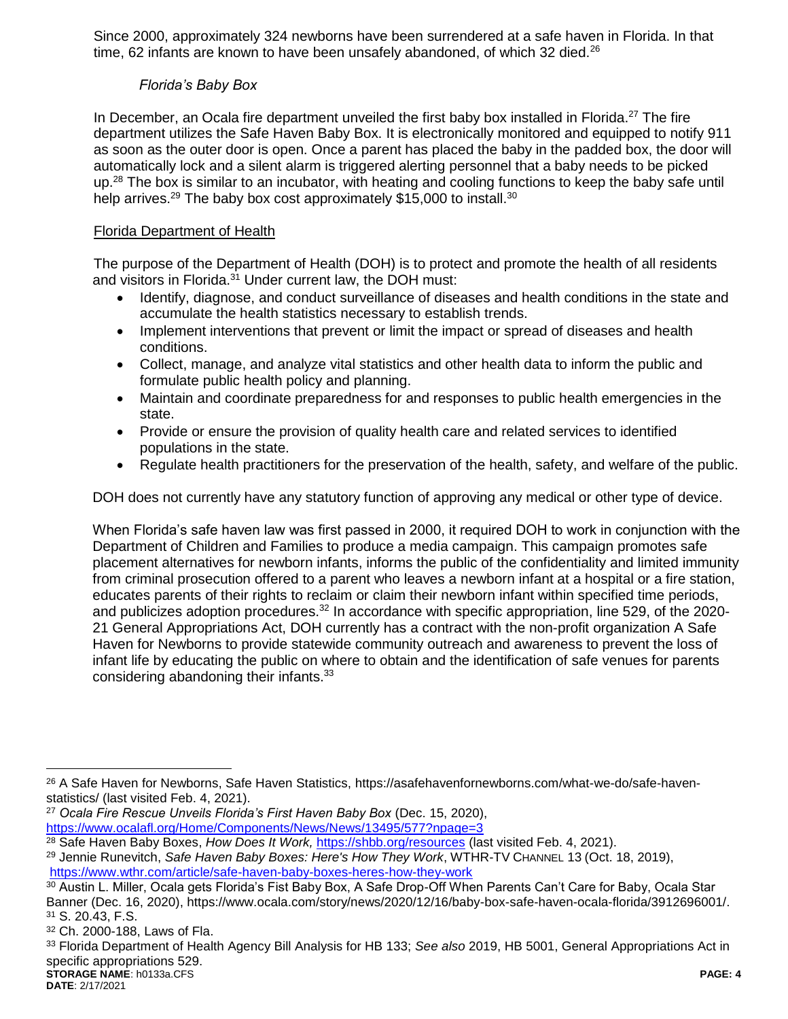Since 2000, approximately 324 newborns have been surrendered at a safe haven in Florida. In that time, 62 infants are known to have been unsafely abandoned, of which 32 died. $^{26}$ 

## *Florida's Baby Box*

In December, an Ocala fire department unveiled the first baby box installed in Florida.<sup>27</sup> The fire department utilizes the Safe Haven Baby Box. It is electronically monitored and equipped to notify 911 as soon as the outer door is open. Once a parent has placed the baby in the padded box, the door will automatically lock and a silent alarm is triggered alerting personnel that a baby needs to be picked up.<sup>28</sup> The box is similar to an incubator, with heating and cooling functions to keep the baby safe until help arrives.<sup>29</sup> The baby box cost approximately \$15,000 to install.<sup>30</sup>

## Florida Department of Health

The purpose of the Department of Health (DOH) is to protect and promote the health of all residents and visitors in Florida.<sup>31</sup> Under current law, the DOH must:

- Identify, diagnose, and conduct surveillance of diseases and health conditions in the state and accumulate the health statistics necessary to establish trends.
- Implement interventions that prevent or limit the impact or spread of diseases and health conditions.
- Collect, manage, and analyze vital statistics and other health data to inform the public and formulate public health policy and planning.
- Maintain and coordinate preparedness for and responses to public health emergencies in the state.
- Provide or ensure the provision of quality health care and related services to identified populations in the state.
- Regulate health practitioners for the preservation of the health, safety, and welfare of the public.

DOH does not currently have any statutory function of approving any medical or other type of device.

When Florida's safe haven law was first passed in 2000, it required DOH to work in conjunction with the Department of Children and Families to produce a media campaign. This campaign promotes safe placement alternatives for newborn infants, informs the public of the confidentiality and limited immunity from criminal prosecution offered to a parent who leaves a newborn infant at a hospital or a fire station, educates parents of their rights to reclaim or claim their newborn infant within specified time periods, and publicizes adoption procedures.<sup>32</sup> In accordance with specific appropriation, line 529, of the 2020- 21 General Appropriations Act, DOH currently has a contract with the non-profit organization A Safe Haven for Newborns to provide statewide community outreach and awareness to prevent the loss of infant life by educating the public on where to obtain and the identification of safe venues for parents considering abandoning their infants.<sup>33</sup>

<sup>27</sup> *Ocala Fire Rescue Unveils Florida's First Haven Baby Box* (Dec. 15, 2020),

 $\overline{a}$ 

<sup>26</sup> A Safe Haven for Newborns, Safe Haven Statistics, https://asafehavenfornewborns.com/what-we-do/safe-havenstatistics/ (last visited Feb. 4, 2021).

<https://www.ocalafl.org/Home/Components/News/News/13495/577?npage=3>

<sup>&</sup>lt;sup>28</sup> Safe Haven Baby Boxes, *How Does It Work, <https://shbb.org/resources>* (last visited Feb. 4, 2021).

<sup>29</sup> Jennie Runevitch, *Safe Haven Baby Boxes: Here's How They Work*, WTHR-TV CHANNEL 13 (Oct. 18, 2019), <https://www.wthr.com/article/safe-haven-baby-boxes-heres-how-they-work>

<sup>&</sup>lt;sup>30</sup> Austin L. Miller, Ocala gets Florida's Fist Baby Box, A Safe Drop-Off When Parents Can't Care for Baby, Ocala Star Banner (Dec. 16, 2020), https://www.ocala.com/story/news/2020/12/16/baby-box-safe-haven-ocala-florida/3912696001/. <sup>31</sup> S. 20.43, F.S.

<sup>32</sup> Ch. 2000-188, Laws of Fla.

**STORAGE NAME**: h0133a.CFS **PAGE: 4** <sup>33</sup> Florida Department of Health Agency Bill Analysis for HB 133; *See also* 2019, HB 5001, General Appropriations Act in specific appropriations 529.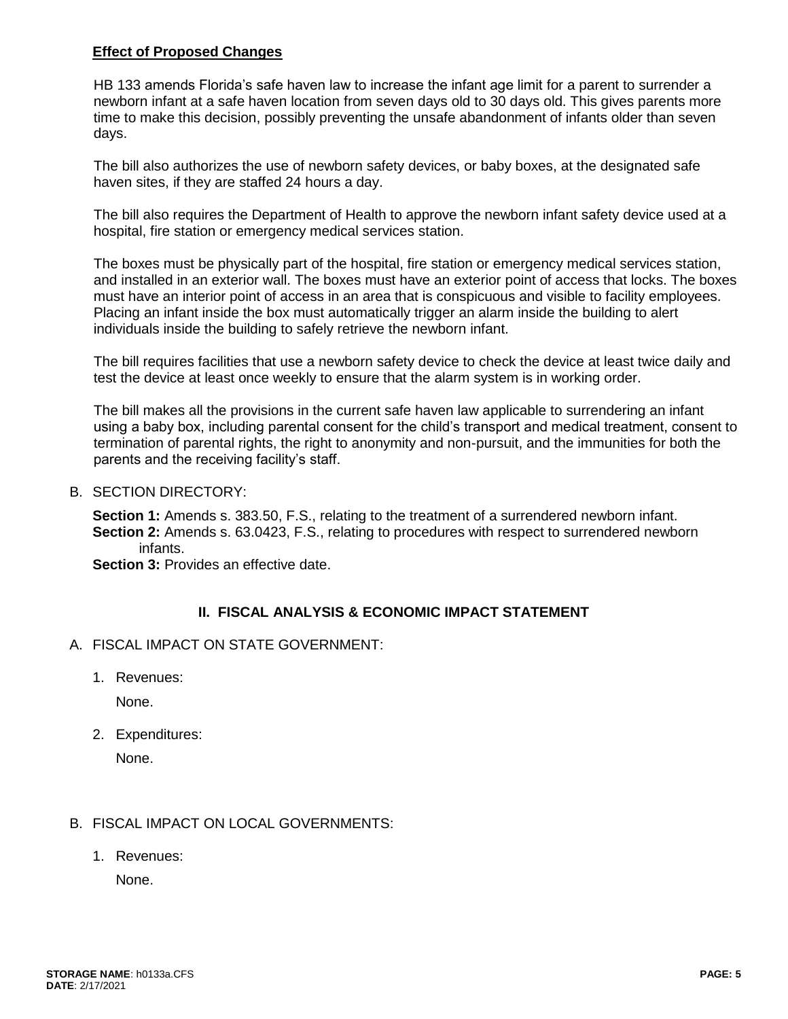### **Effect of Proposed Changes**

HB 133 amends Florida's safe haven law to increase the infant age limit for a parent to surrender a newborn infant at a safe haven location from seven days old to 30 days old. This gives parents more time to make this decision, possibly preventing the unsafe abandonment of infants older than seven days.

The bill also authorizes the use of newborn safety devices, or baby boxes, at the designated safe haven sites, if they are staffed 24 hours a day.

The bill also requires the Department of Health to approve the newborn infant safety device used at a hospital, fire station or emergency medical services station.

The boxes must be physically part of the hospital, fire station or emergency medical services station, and installed in an exterior wall. The boxes must have an exterior point of access that locks. The boxes must have an interior point of access in an area that is conspicuous and visible to facility employees. Placing an infant inside the box must automatically trigger an alarm inside the building to alert individuals inside the building to safely retrieve the newborn infant.

The bill requires facilities that use a newborn safety device to check the device at least twice daily and test the device at least once weekly to ensure that the alarm system is in working order.

The bill makes all the provisions in the current safe haven law applicable to surrendering an infant using a baby box, including parental consent for the child's transport and medical treatment, consent to termination of parental rights, the right to anonymity and non-pursuit, and the immunities for both the parents and the receiving facility's staff.

B. SECTION DIRECTORY:

**Section 1:** Amends s. 383.50, F.S., relating to the treatment of a surrendered newborn infant. **Section 2:** Amends s. 63.0423, F.S., relating to procedures with respect to surrendered newborn infants.

**Section 3: Provides an effective date.** 

# **II. FISCAL ANALYSIS & ECONOMIC IMPACT STATEMENT**

- A. FISCAL IMPACT ON STATE GOVERNMENT:
	- 1. Revenues:

None.

2. Expenditures:

None.

### B. FISCAL IMPACT ON LOCAL GOVERNMENTS:

1. Revenues:

None.